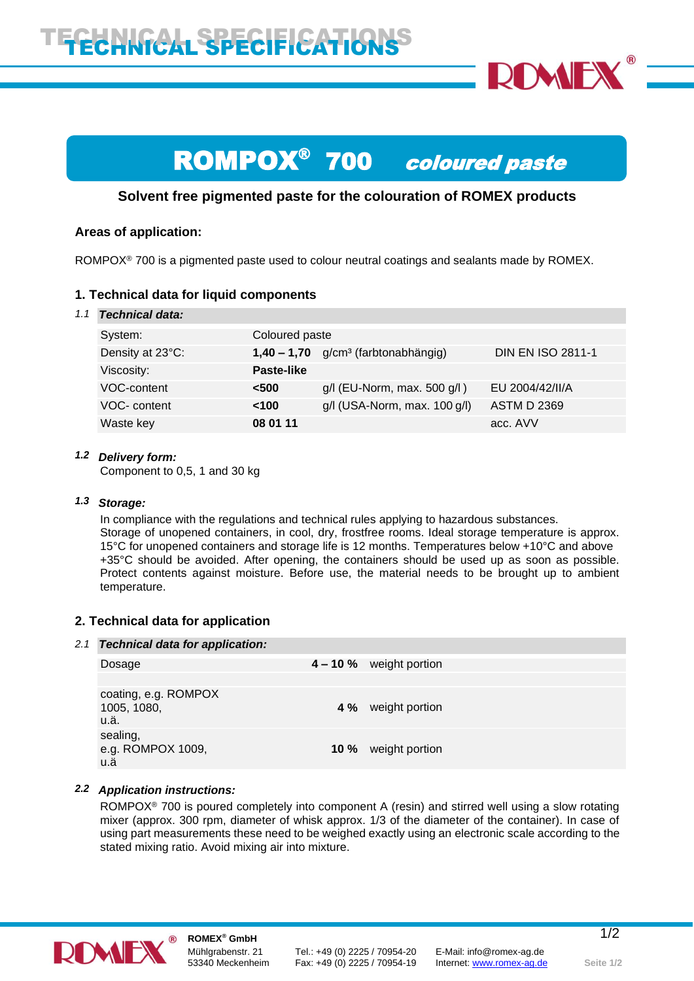

### ROMPOX<sup>®</sup> 700 coloured paste

# **Solvent free pigmented paste for the colouration of ROMEX products**

### **Areas of application:**

ROMPOX<sup>®</sup> 700 is a pigmented paste used to colour neutral coatings and sealants made by ROMEX.

## **1. Technical data for liquid components**

| System:          | Coloured paste   |                                     |                          |
|------------------|------------------|-------------------------------------|--------------------------|
| Density at 23°C: | $1,40 - 1,70$    | g/cm <sup>3</sup> (farbtonabhängig) | <b>DIN EN ISO 2811-1</b> |
| Viscosity:       | Paste-like       |                                     |                          |
| VOC-content      | < 500            | $g/l$ (EU-Norm, max. 500 $g/l$ )    | EU 2004/42/II/A          |
| VOC- content     | 100 <sup>2</sup> | $g/l$ (USA-Norm, max. 100 $g/l$ )   | <b>ASTM D 2369</b>       |
| Waste key        | 08 01 11         |                                     | acc. AVV                 |

### *1.2 Delivery form:*

Component to 0,5, 1 and 30 kg

### *1.3 Storage:*

In compliance with the regulations and technical rules applying to hazardous substances. Storage of unopened containers, in cool, dry, frostfree rooms. Ideal storage temperature is approx. 15°C for unopened containers and storage life is 12 months. Temperatures below +10°C and above +35°C should be avoided. After opening, the containers should be used up as soon as possible. Protect contents against moisture. Before use, the material needs to be brought up to ambient temperature.

## **2. Technical data for application**

### *2.1 Technical data for application:*

| rconnoar data for application.              |  |                            |  |
|---------------------------------------------|--|----------------------------|--|
| Dosage                                      |  | $4 - 10 \%$ weight portion |  |
| coating, e.g. ROMPOX<br>1005, 1080,<br>u.ä. |  | 4 % weight portion         |  |
| sealing,<br>e.g. ROMPOX 1009,<br>u.ä        |  | <b>10 %</b> weight portion |  |

### *2.2 Application instructions:*

ROMPOX® 700 is poured completely into component A (resin) and stirred well using a slow rotating mixer (approx. 300 rpm, diameter of whisk approx. 1/3 of the diameter of the container). In case of using part measurements these need to be weighed exactly using an electronic scale according to the stated mixing ratio. Avoid mixing air into mixture.



Mühlgrabenstr. 21 Tel.: +49 (0) 2225 / 70954-20 E-Mail: info@romex-ag.de<br>53340 Meckenheim Fax: +49 (0) 2225 / 70954-19 Internet: www.romex-ag.de Fax: +49 (0) 2225 / 70954-19 Internet[: www.romex-ag.de](http://www.romex-ag.de/) Seite 1/2